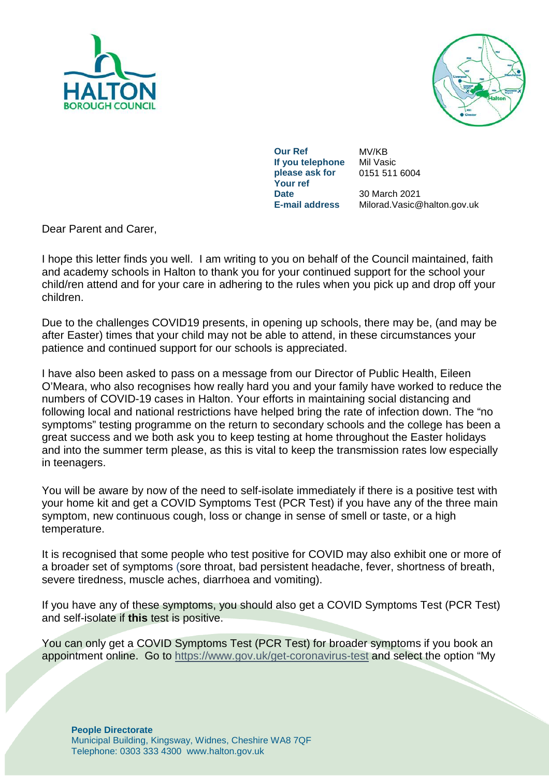



**Our Ref** MV/KB **If you telephone please ask for Your ref Date** 30 March 2021<br>**E-mail address** Milorad.Vasic@

Mil Vasic 0151 511 6004

**E-mail address** Milorad.Vasic@halton.gov.uk

Dear Parent and Carer,

I hope this letter finds you well. I am writing to you on behalf of the Council maintained, faith and academy schools in Halton to thank you for your continued support for the school your child/ren attend and for your care in adhering to the rules when you pick up and drop off your children.

Due to the challenges COVID19 presents, in opening up schools, there may be, (and may be after Easter) times that your child may not be able to attend, in these circumstances your patience and continued support for our schools is appreciated.

I have also been asked to pass on a message from our Director of Public Health, Eileen O'Meara, who also recognises how really hard you and your family have worked to reduce the numbers of COVID-19 cases in Halton. Your efforts in maintaining social distancing and following local and national restrictions have helped bring the rate of infection down. The "no symptoms" testing programme on the return to secondary schools and the college has been a great success and we both ask you to keep testing at home throughout the Easter holidays and into the summer term please, as this is vital to keep the transmission rates low especially in teenagers.

You will be aware by now of the need to self-isolate immediately if there is a positive test with your home kit and get a COVID Symptoms Test (PCR Test) if you have any of the three main symptom, new continuous cough, loss or change in sense of smell or taste, or a high temperature.

It is recognised that some people who test positive for COVID may also exhibit one or more of a broader set of symptoms (sore throat, bad persistent headache, fever, shortness of breath, severe tiredness, muscle aches, diarrhoea and vomiting).

If you have any of these symptoms, you should also get a COVID Symptoms Test (PCR Test) and self-isolate if **this** test is positive.

You can only get a COVID Symptoms Test (PCR Test) for broader symptoms if you book an appointment online. Go to<https://www.gov.uk/get-coronavirus-test> and select the option "My